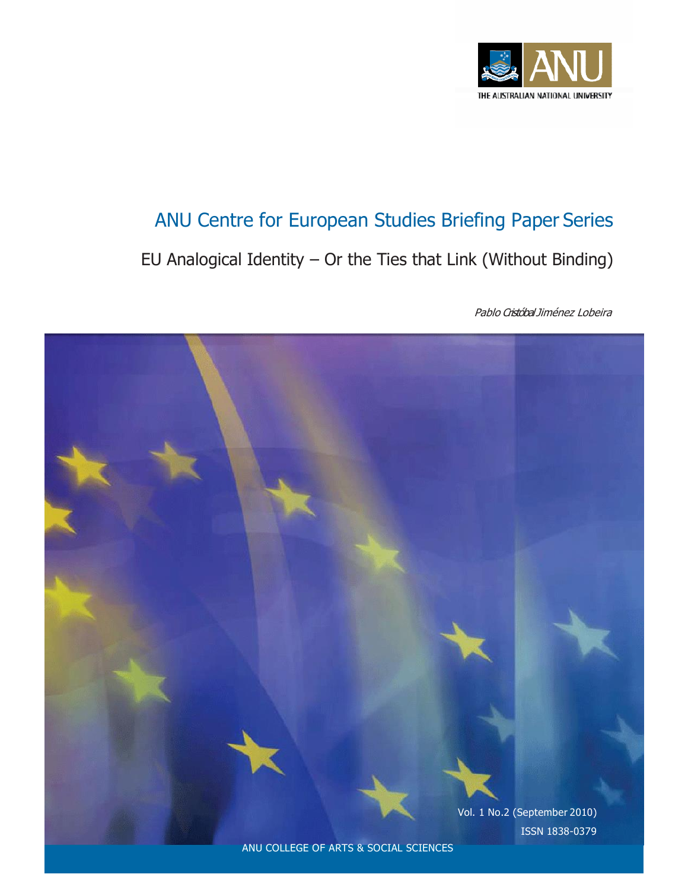

# ANU Centre for European Studies Briefing Paper Series

EU Analogical Identity – Or the Ties that Link (Without Binding)

Pablo Cristóbal Jiménez Lobeira

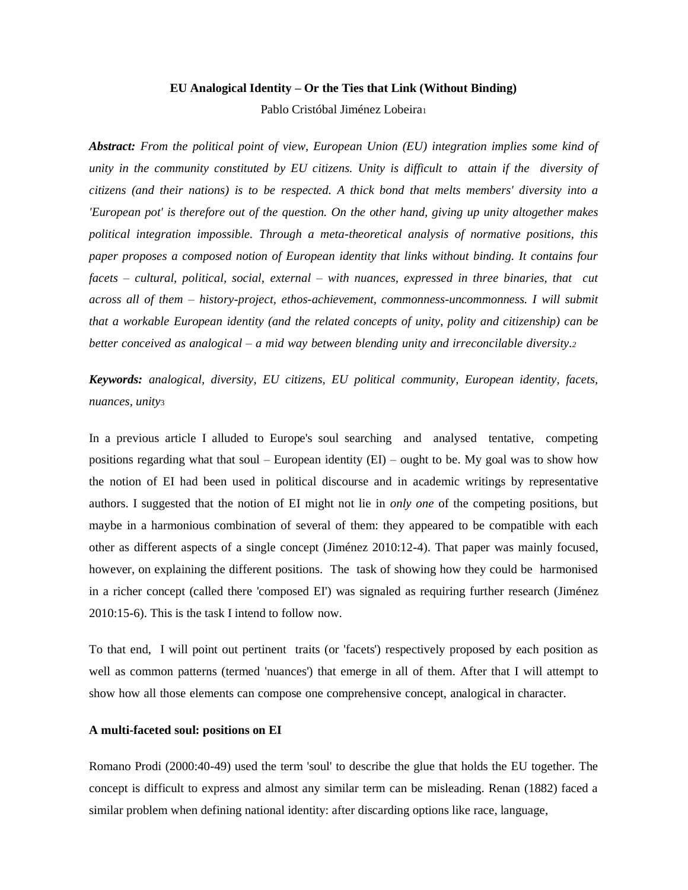#### **EU Analogical Identity – Or the Ties that Link (Without Binding)**

Pablo Cristóbal Jiménez Lobeira<sup>1</sup>

*Abstract: From the political point of view, European Union (EU) integration implies some kind of unity in the community constituted by EU citizens. Unity is difficult to attain if the diversity of citizens (and their nations) is to be respected. A thick bond that melts members' diversity into a 'European pot' is therefore out of the question. On the other hand, giving up unity altogether makes political integration impossible. Through a meta-theoretical analysis of normative positions, this paper proposes a composed notion of European identity that links without binding. It contains four facets – cultural, political, social, external – with nuances, expressed in three binaries, that cut across all of them – history-project, ethos-achievement, commonness-uncommonness. I will submit that a workable European identity (and the related concepts of unity, polity and citizenship) can be better conceived as analogical – a mid way between blending unity and irreconcilable diversity.<sup>2</sup>*

*Keywords: analogical, diversity, EU citizens, EU political community, European identity, facets, nuances, unity*<sup>3</sup>

In a previous article I alluded to Europe's soul searching and analysed tentative, competing positions regarding what that soul – European identity  $(EI)$  – ought to be. My goal was to show how the notion of EI had been used in political discourse and in academic writings by representative authors. I suggested that the notion of EI might not lie in *only one* of the competing positions, but maybe in a harmonious combination of several of them: they appeared to be compatible with each other as different aspects of a single concept (Jiménez 2010:12-4). That paper was mainly focused, however, on explaining the different positions. The task of showing how they could be harmonised in a richer concept (called there 'composed EI') was signaled as requiring further research (Jiménez 2010:15-6). This is the task I intend to follow now.

To that end, I will point out pertinent traits (or 'facets') respectively proposed by each position as well as common patterns (termed 'nuances') that emerge in all of them. After that I will attempt to show how all those elements can compose one comprehensive concept, analogical in character.

## **A multi-faceted soul: positions on EI**

Romano Prodi (2000:40-49) used the term 'soul' to describe the glue that holds the EU together. The concept is difficult to express and almost any similar term can be misleading. Renan (1882) faced a similar problem when defining national identity: after discarding options like race, language,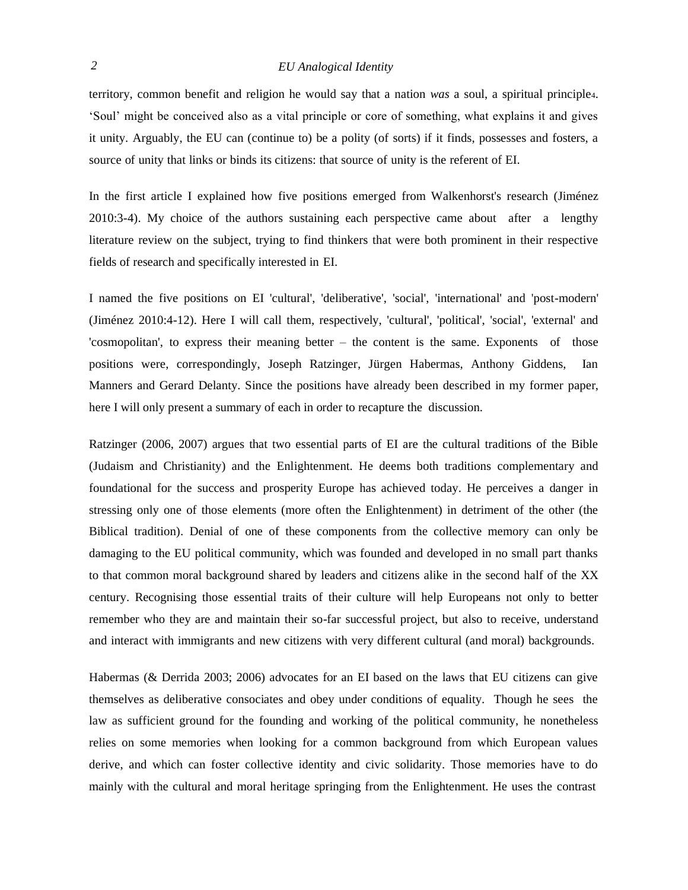territory, common benefit and religion he would say that a nation *was* a soul, a spiritual principle4. 'Soul' might be conceived also as a vital principle or core of something, what explains it and gives it unity. Arguably, the EU can (continue to) be a polity (of sorts) if it finds, possesses and fosters, a source of unity that links or binds its citizens: that source of unity is the referent of EI.

In the first article I explained how five positions emerged from Walkenhorst's research (Jiménez 2010:3-4). My choice of the authors sustaining each perspective came about after a lengthy literature review on the subject, trying to find thinkers that were both prominent in their respective fields of research and specifically interested in EI.

I named the five positions on EI 'cultural', 'deliberative', 'social', 'international' and 'post-modern' (Jiménez 2010:4-12). Here I will call them, respectively, 'cultural', 'political', 'social', 'external' and 'cosmopolitan', to express their meaning better – the content is the same. Exponents of those positions were, correspondingly, Joseph Ratzinger, Jürgen Habermas, Anthony Giddens, Ian Manners and Gerard Delanty. Since the positions have already been described in my former paper, here I will only present a summary of each in order to recapture the discussion.

Ratzinger (2006, 2007) argues that two essential parts of EI are the cultural traditions of the Bible (Judaism and Christianity) and the Enlightenment. He deems both traditions complementary and foundational for the success and prosperity Europe has achieved today. He perceives a danger in stressing only one of those elements (more often the Enlightenment) in detriment of the other (the Biblical tradition). Denial of one of these components from the collective memory can only be damaging to the EU political community, which was founded and developed in no small part thanks to that common moral background shared by leaders and citizens alike in the second half of the XX century. Recognising those essential traits of their culture will help Europeans not only to better remember who they are and maintain their so-far successful project, but also to receive, understand and interact with immigrants and new citizens with very different cultural (and moral) backgrounds.

Habermas (& Derrida 2003; 2006) advocates for an EI based on the laws that EU citizens can give themselves as deliberative consociates and obey under conditions of equality. Though he sees the law as sufficient ground for the founding and working of the political community, he nonetheless relies on some memories when looking for a common background from which European values derive, and which can foster collective identity and civic solidarity. Those memories have to do mainly with the cultural and moral heritage springing from the Enlightenment. He uses the contrast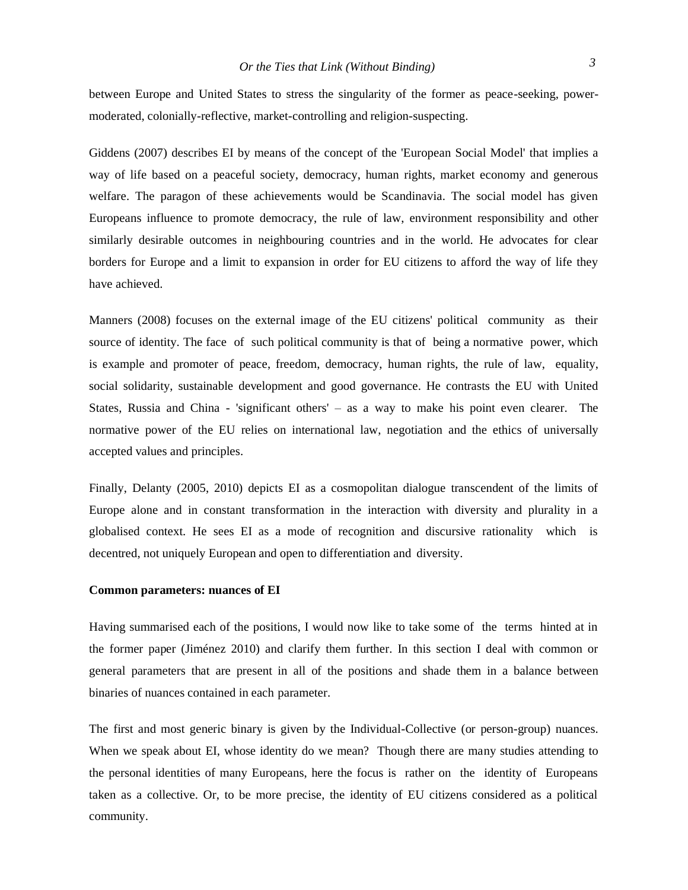between Europe and United States to stress the singularity of the former as peace-seeking, powermoderated, colonially-reflective, market-controlling and religion-suspecting.

Giddens (2007) describes EI by means of the concept of the 'European Social Model' that implies a way of life based on a peaceful society, democracy, human rights, market economy and generous welfare. The paragon of these achievements would be Scandinavia. The social model has given Europeans influence to promote democracy, the rule of law, environment responsibility and other similarly desirable outcomes in neighbouring countries and in the world. He advocates for clear borders for Europe and a limit to expansion in order for EU citizens to afford the way of life they have achieved.

Manners (2008) focuses on the external image of the EU citizens' political community as their source of identity. The face of such political community is that of being a normative power, which is example and promoter of peace, freedom, democracy, human rights, the rule of law, equality, social solidarity, sustainable development and good governance. He contrasts the EU with United States, Russia and China - 'significant others' – as a way to make his point even clearer. The normative power of the EU relies on international law, negotiation and the ethics of universally accepted values and principles.

Finally, Delanty (2005, 2010) depicts EI as a cosmopolitan dialogue transcendent of the limits of Europe alone and in constant transformation in the interaction with diversity and plurality in a globalised context. He sees EI as a mode of recognition and discursive rationality which is decentred, not uniquely European and open to differentiation and diversity.

#### **Common parameters: nuances of EI**

Having summarised each of the positions, I would now like to take some of the terms hinted at in the former paper (Jiménez 2010) and clarify them further. In this section I deal with common or general parameters that are present in all of the positions and shade them in a balance between binaries of nuances contained in each parameter.

The first and most generic binary is given by the Individual-Collective (or person-group) nuances. When we speak about EI, whose identity do we mean? Though there are many studies attending to the personal identities of many Europeans, here the focus is rather on the identity of Europeans taken as a collective. Or, to be more precise, the identity of EU citizens considered as a political community.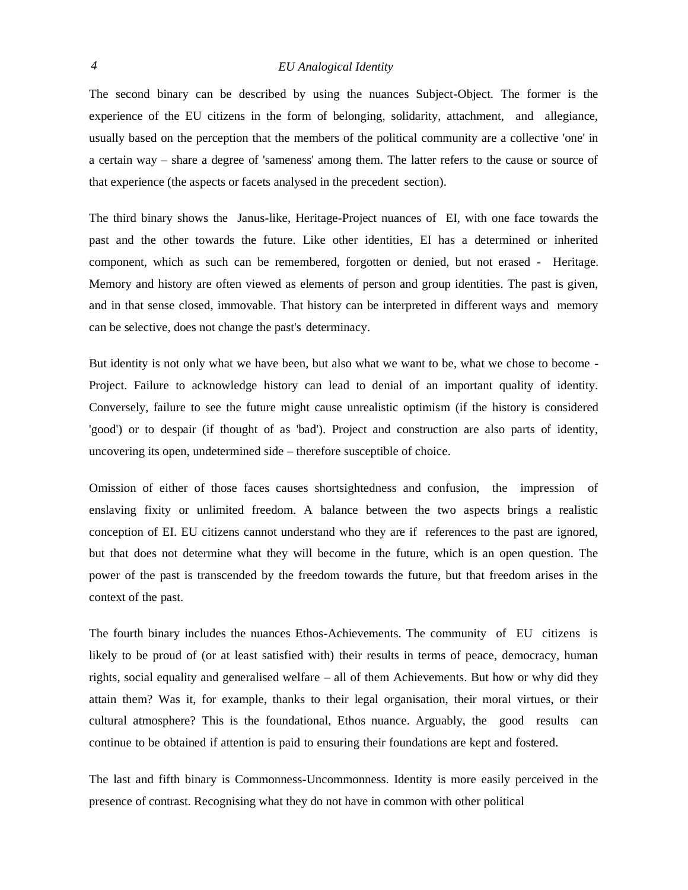The second binary can be described by using the nuances Subject-Object. The former is the experience of the EU citizens in the form of belonging, solidarity, attachment, and allegiance, usually based on the perception that the members of the political community are a collective 'one' in a certain way – share a degree of 'sameness' among them. The latter refers to the cause or source of that experience (the aspects or facets analysed in the precedent section).

The third binary shows the Janus-like, Heritage-Project nuances of EI, with one face towards the past and the other towards the future. Like other identities, EI has a determined or inherited component, which as such can be remembered, forgotten or denied, but not erased - Heritage. Memory and history are often viewed as elements of person and group identities. The past is given, and in that sense closed, immovable. That history can be interpreted in different ways and memory can be selective, does not change the past's determinacy.

But identity is not only what we have been, but also what we want to be, what we chose to become - Project. Failure to acknowledge history can lead to denial of an important quality of identity. Conversely, failure to see the future might cause unrealistic optimism (if the history is considered 'good') or to despair (if thought of as 'bad'). Project and construction are also parts of identity, uncovering its open, undetermined side – therefore susceptible of choice.

Omission of either of those faces causes shortsightedness and confusion, the impression of enslaving fixity or unlimited freedom. A balance between the two aspects brings a realistic conception of EI. EU citizens cannot understand who they are if references to the past are ignored, but that does not determine what they will become in the future, which is an open question. The power of the past is transcended by the freedom towards the future, but that freedom arises in the context of the past.

The fourth binary includes the nuances Ethos-Achievements. The community of EU citizens is likely to be proud of (or at least satisfied with) their results in terms of peace, democracy, human rights, social equality and generalised welfare – all of them Achievements. But how or why did they attain them? Was it, for example, thanks to their legal organisation, their moral virtues, or their cultural atmosphere? This is the foundational, Ethos nuance. Arguably, the good results can continue to be obtained if attention is paid to ensuring their foundations are kept and fostered.

The last and fifth binary is Commonness-Uncommonness. Identity is more easily perceived in the presence of contrast. Recognising what they do not have in common with other political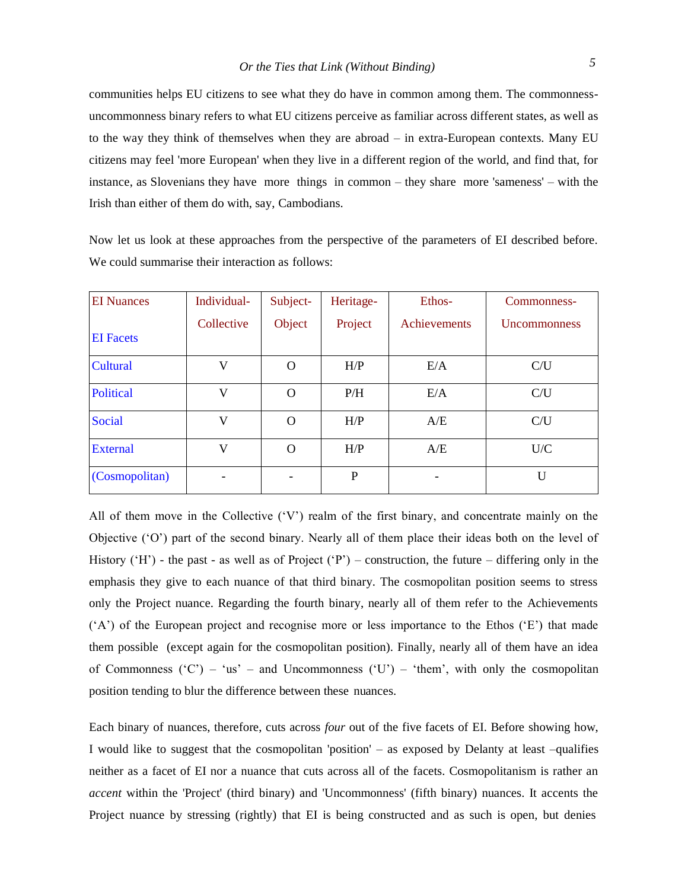communities helps EU citizens to see what they do have in common among them. The commonnessuncommonness binary refers to what EU citizens perceive as familiar across different states, as well as to the way they think of themselves when they are abroad – in extra-European contexts. Many EU citizens may feel 'more European' when they live in a different region of the world, and find that, for instance, as Slovenians they have more things in common – they share more 'sameness' – with the Irish than either of them do with, say, Cambodians.

Now let us look at these approaches from the perspective of the parameters of EI described before. We could summarise their interaction as follows:

| <b>EI</b> Nuances | Individual- | Subject- | Heritage- | Ethos-       | Commonness-         |
|-------------------|-------------|----------|-----------|--------------|---------------------|
|                   | Collective  | Object   | Project   | Achievements | <b>Uncommonness</b> |
| <b>EI</b> Facets  |             |          |           |              |                     |
| Cultural          | V           | $\Omega$ | H/P       | E/A          | C/U                 |
| <b>Political</b>  | V           | O        | P/H       | E/A          | C/U                 |
| Social            | V           | O        | H/P       | A/E          | C/U                 |
| <b>External</b>   | V           | $\Omega$ | H/P       | A/E          | U/C                 |
| (Cosmopolitan)    |             |          | P         | ۰            | $\mathbf{I}$        |

All of them move in the Collective  $(V')$  realm of the first binary, and concentrate mainly on the Objective ('O') part of the second binary. Nearly all of them place their ideas both on the level of History ( $H'$ ) - the past - as well as of Project ( $P'$ ) – construction, the future – differing only in the emphasis they give to each nuance of that third binary. The cosmopolitan position seems to stress only the Project nuance. Regarding the fourth binary, nearly all of them refer to the Achievements ('A') of the European project and recognise more or less importance to the Ethos ('E') that made them possible (except again for the cosmopolitan position). Finally, nearly all of them have an idea of Commonness ( $(C') - 'us' -$  and Uncommonness ( $(U') - 'then'$ , with only the cosmopolitan position tending to blur the difference between these nuances.

Each binary of nuances, therefore, cuts across *four* out of the five facets of EI. Before showing how, I would like to suggest that the cosmopolitan 'position' – as exposed by Delanty at least –qualifies neither as a facet of EI nor a nuance that cuts across all of the facets. Cosmopolitanism is rather an *accent* within the 'Project' (third binary) and 'Uncommonness' (fifth binary) nuances. It accents the Project nuance by stressing (rightly) that EI is being constructed and as such is open, but denies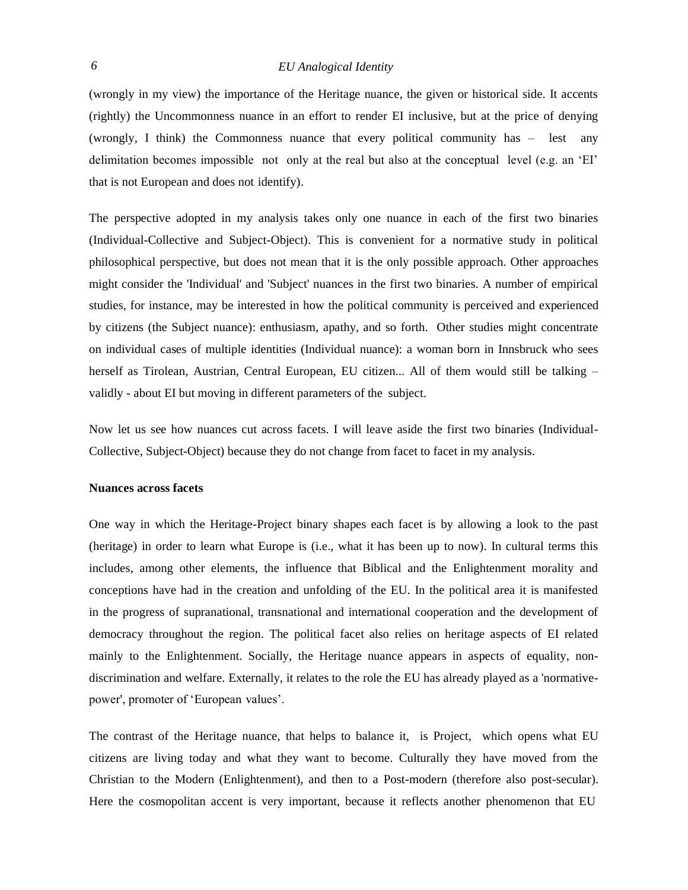(wrongly in my view) the importance of the Heritage nuance, the given or historical side. It accents (rightly) the Uncommonness nuance in an effort to render EI inclusive, but at the price of denying (wrongly, I think) the Commonness nuance that every political community has – lest any delimitation becomes impossible not only at the real but also at the conceptual level (e.g. an 'EI' that is not European and does not identify).

The perspective adopted in my analysis takes only one nuance in each of the first two binaries (Individual-Collective and Subject-Object). This is convenient for a normative study in political philosophical perspective, but does not mean that it is the only possible approach. Other approaches might consider the 'Individual' and 'Subject' nuances in the first two binaries. A number of empirical studies, for instance, may be interested in how the political community is perceived and experienced by citizens (the Subject nuance): enthusiasm, apathy, and so forth. Other studies might concentrate on individual cases of multiple identities (Individual nuance): a woman born in Innsbruck who sees herself as Tirolean, Austrian, Central European, EU citizen... All of them would still be talking – validly - about EI but moving in different parameters of the subject.

Now let us see how nuances cut across facets. I will leave aside the first two binaries (Individual-Collective, Subject-Object) because they do not change from facet to facet in my analysis.

#### **Nuances across facets**

One way in which the Heritage-Project binary shapes each facet is by allowing a look to the past (heritage) in order to learn what Europe is (i.e., what it has been up to now). In cultural terms this includes, among other elements, the influence that Biblical and the Enlightenment morality and conceptions have had in the creation and unfolding of the EU. In the political area it is manifested in the progress of supranational, transnational and international cooperation and the development of democracy throughout the region. The political facet also relies on heritage aspects of EI related mainly to the Enlightenment. Socially, the Heritage nuance appears in aspects of equality, nondiscrimination and welfare. Externally, it relates to the role the EU has already played as a 'normativepower', promoter of 'European values'.

The contrast of the Heritage nuance, that helps to balance it, is Project, which opens what EU citizens are living today and what they want to become. Culturally they have moved from the Christian to the Modern (Enlightenment), and then to a Post-modern (therefore also post-secular). Here the cosmopolitan accent is very important, because it reflects another phenomenon that EU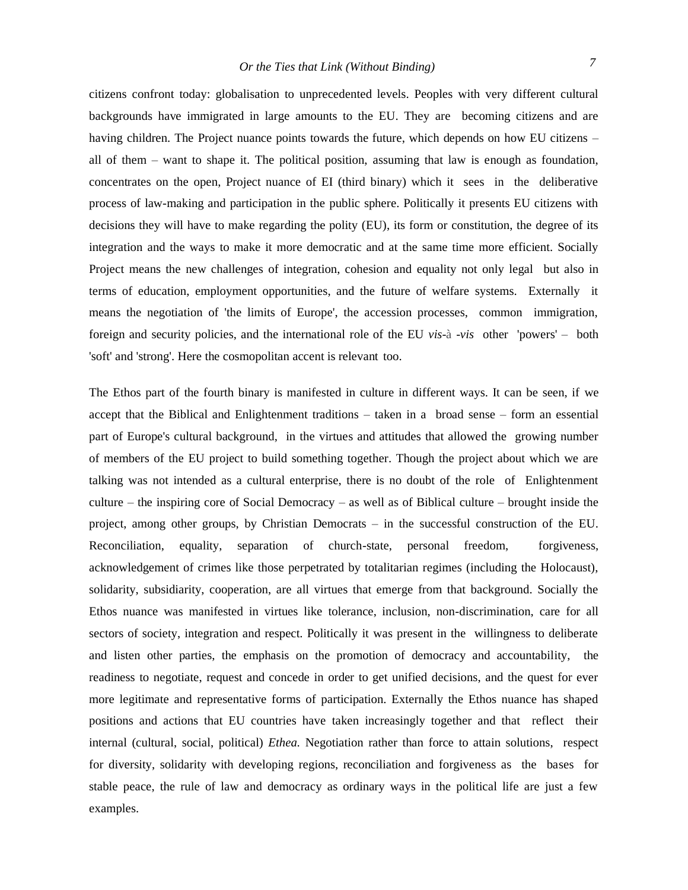citizens confront today: globalisation to unprecedented levels. Peoples with very different cultural backgrounds have immigrated in large amounts to the EU. They are becoming citizens and are having children. The Project nuance points towards the future, which depends on how EU citizens – all of them – want to shape it. The political position, assuming that law is enough as foundation, concentrates on the open, Project nuance of EI (third binary) which it sees in the deliberative process of law-making and participation in the public sphere. Politically it presents EU citizens with decisions they will have to make regarding the polity (EU), its form or constitution, the degree of its integration and the ways to make it more democratic and at the same time more efficient. Socially Project means the new challenges of integration, cohesion and equality not only legal but also in terms of education, employment opportunities, and the future of welfare systems. Externally it means the negotiation of 'the limits of Europe', the accession processes, common immigration, foreign and security policies, and the international role of the EU *vis-*à *-vis* other 'powers' – both 'soft' and 'strong'. Here the cosmopolitan accent is relevant too.

The Ethos part of the fourth binary is manifested in culture in different ways. It can be seen, if we accept that the Biblical and Enlightenment traditions – taken in a broad sense – form an essential part of Europe's cultural background, in the virtues and attitudes that allowed the growing number of members of the EU project to build something together. Though the project about which we are talking was not intended as a cultural enterprise, there is no doubt of the role of Enlightenment culture – the inspiring core of Social Democracy – as well as of Biblical culture – brought inside the project, among other groups, by Christian Democrats – in the successful construction of the EU. Reconciliation, equality, separation of church-state, personal freedom, forgiveness, acknowledgement of crimes like those perpetrated by totalitarian regimes (including the Holocaust), solidarity, subsidiarity, cooperation, are all virtues that emerge from that background. Socially the Ethos nuance was manifested in virtues like tolerance, inclusion, non-discrimination, care for all sectors of society, integration and respect. Politically it was present in the willingness to deliberate and listen other parties, the emphasis on the promotion of democracy and accountability, readiness to negotiate, request and concede in order to get unified decisions, and the quest for ever more legitimate and representative forms of participation. Externally the Ethos nuance has shaped positions and actions that EU countries have taken increasingly together and that reflect their internal (cultural, social, political) *Ethea.* Negotiation rather than force to attain solutions, respect for diversity, solidarity with developing regions, reconciliation and forgiveness as the bases for stable peace, the rule of law and democracy as ordinary ways in the political life are just a few examples.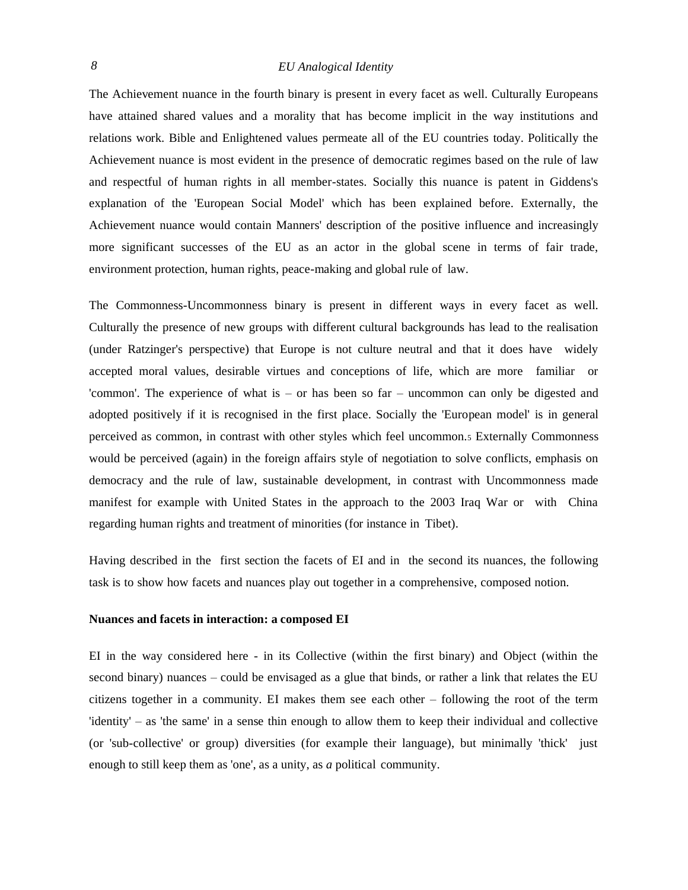The Achievement nuance in the fourth binary is present in every facet as well. Culturally Europeans have attained shared values and a morality that has become implicit in the way institutions and relations work. Bible and Enlightened values permeate all of the EU countries today. Politically the Achievement nuance is most evident in the presence of democratic regimes based on the rule of law and respectful of human rights in all member-states. Socially this nuance is patent in Giddens's explanation of the 'European Social Model' which has been explained before. Externally, the Achievement nuance would contain Manners' description of the positive influence and increasingly more significant successes of the EU as an actor in the global scene in terms of fair trade, environment protection, human rights, peace-making and global rule of law.

The Commonness-Uncommonness binary is present in different ways in every facet as well. Culturally the presence of new groups with different cultural backgrounds has lead to the realisation (under Ratzinger's perspective) that Europe is not culture neutral and that it does have widely accepted moral values, desirable virtues and conceptions of life, which are more familiar or 'common'. The experience of what is – or has been so far – uncommon can only be digested and adopted positively if it is recognised in the first place. Socially the 'European model' is in general perceived as common, in contrast with other styles which feel uncommon.<sup>5</sup> Externally Commonness would be perceived (again) in the foreign affairs style of negotiation to solve conflicts, emphasis on democracy and the rule of law, sustainable development, in contrast with Uncommonness made manifest for example with United States in the approach to the 2003 Iraq War or with China regarding human rights and treatment of minorities (for instance in Tibet).

Having described in the first section the facets of EI and in the second its nuances, the following task is to show how facets and nuances play out together in a comprehensive, composed notion.

#### **Nuances and facets in interaction: a composed EI**

EI in the way considered here - in its Collective (within the first binary) and Object (within the second binary) nuances – could be envisaged as a glue that binds, or rather a link that relates the EU citizens together in a community. EI makes them see each other – following the root of the term 'identity' – as 'the same' in a sense thin enough to allow them to keep their individual and collective (or 'sub-collective' or group) diversities (for example their language), but minimally 'thick' just enough to still keep them as 'one', as a unity, as *a* political community.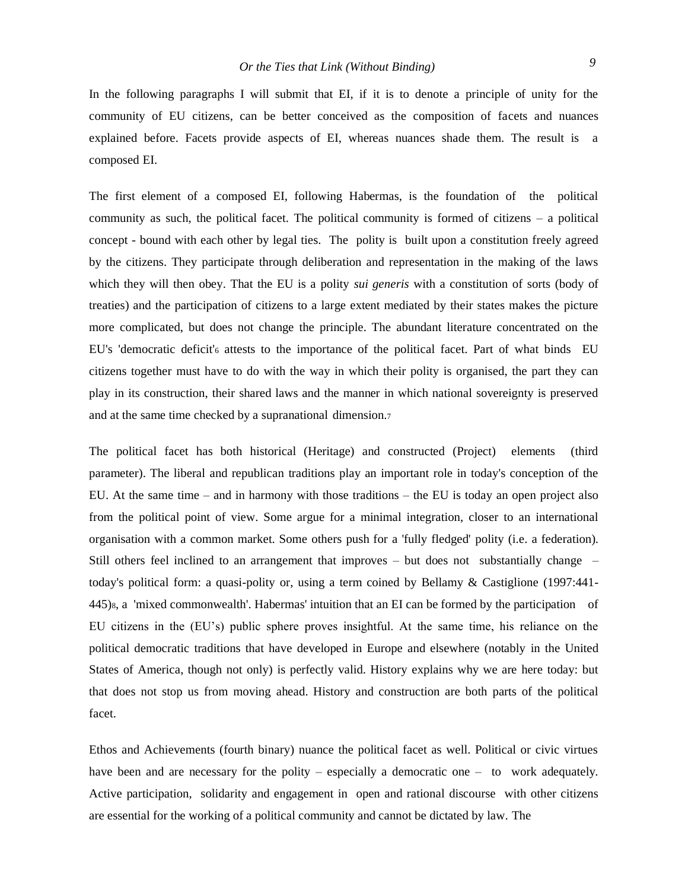In the following paragraphs I will submit that EI, if it is to denote a principle of unity for the community of EU citizens, can be better conceived as the composition of facets and nuances explained before. Facets provide aspects of EI, whereas nuances shade them. The result is a composed EI.

The first element of a composed EI, following Habermas, is the foundation of the political community as such, the political facet. The political community is formed of citizens – a political concept - bound with each other by legal ties. The polity is built upon a constitution freely agreed by the citizens. They participate through deliberation and representation in the making of the laws which they will then obey. That the EU is a polity *sui generis* with a constitution of sorts (body of treaties) and the participation of citizens to a large extent mediated by their states makes the picture more complicated, but does not change the principle. The abundant literature concentrated on the EU's 'democratic deficit'<sub>6</sub> attests to the importance of the political facet. Part of what binds EU citizens together must have to do with the way in which their polity is organised, the part they can play in its construction, their shared laws and the manner in which national sovereignty is preserved and at the same time checked by a supranational dimension.<sup>7</sup>

The political facet has both historical (Heritage) and constructed (Project) elements (third parameter). The liberal and republican traditions play an important role in today's conception of the EU. At the same time – and in harmony with those traditions – the EU is today an open project also from the political point of view. Some argue for a minimal integration, closer to an international organisation with a common market. Some others push for a 'fully fledged' polity (i.e. a federation). Still others feel inclined to an arrangement that improves – but does not substantially change – today's political form: a quasi-polity or, using a term coined by Bellamy & Castiglione (1997:441- 445)8, a 'mixed commonwealth'. Habermas' intuition that an EI can be formed by the participation of EU citizens in the (EU's) public sphere proves insightful. At the same time, his reliance on the political democratic traditions that have developed in Europe and elsewhere (notably in the United States of America, though not only) is perfectly valid. History explains why we are here today: but that does not stop us from moving ahead. History and construction are both parts of the political facet.

Ethos and Achievements (fourth binary) nuance the political facet as well. Political or civic virtues have been and are necessary for the polity – especially a democratic one – to work adequately. Active participation, solidarity and engagement in open and rational discourse with other citizens are essential for the working of a political community and cannot be dictated by law. The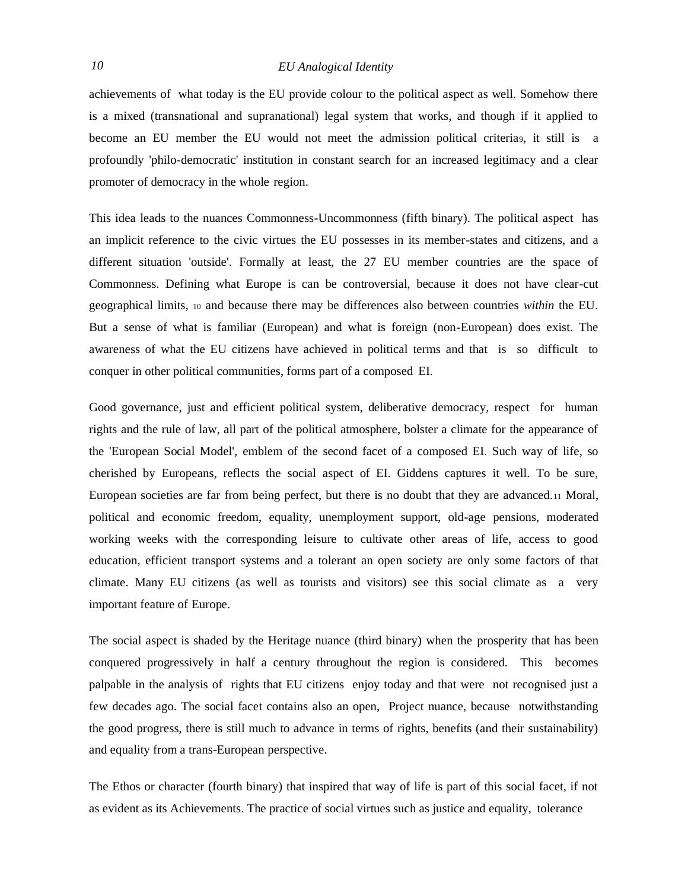achievements of what today is the EU provide colour to the political aspect as well. Somehow there is a mixed (transnational and supranational) legal system that works, and though if it applied to become an EU member the EU would not meet the admission political criteria9, it still is a profoundly 'philo-democratic' institution in constant search for an increased legitimacy and a clear promoter of democracy in the whole region.

This idea leads to the nuances Commonness-Uncommonness (fifth binary). The political aspect has an implicit reference to the civic virtues the EU possesses in its member-states and citizens, and a different situation 'outside'. Formally at least, the 27 EU member countries are the space of Commonness. Defining what Europe is can be controversial, because it does not have clear-cut geographical limits, <sup>10</sup> and because there may be differences also between countries *within* the EU. But a sense of what is familiar (European) and what is foreign (non-European) does exist. The awareness of what the EU citizens have achieved in political terms and that is so difficult to conquer in other political communities, forms part of a composed EI.

Good governance, just and efficient political system, deliberative democracy, respect for human rights and the rule of law, all part of the political atmosphere, bolster a climate for the appearance of the 'European Social Model', emblem of the second facet of a composed EI. Such way of life, so cherished by Europeans, reflects the social aspect of EI. Giddens captures it well. To be sure, European societies are far from being perfect, but there is no doubt that they are advanced.<sup>11</sup> Moral, political and economic freedom, equality, unemployment support, old-age pensions, moderated working weeks with the corresponding leisure to cultivate other areas of life, access to good education, efficient transport systems and a tolerant an open society are only some factors of that climate. Many EU citizens (as well as tourists and visitors) see this social climate as a very important feature of Europe.

The social aspect is shaded by the Heritage nuance (third binary) when the prosperity that has been conquered progressively in half a century throughout the region is considered. This becomes palpable in the analysis of rights that EU citizens enjoy today and that were not recognised just a few decades ago. The social facet contains also an open, Project nuance, because notwithstanding the good progress, there is still much to advance in terms of rights, benefits (and their sustainability) and equality from a trans-European perspective.

The Ethos or character (fourth binary) that inspired that way of life is part of this social facet, if not as evident as its Achievements. The practice of social virtues such as justice and equality, tolerance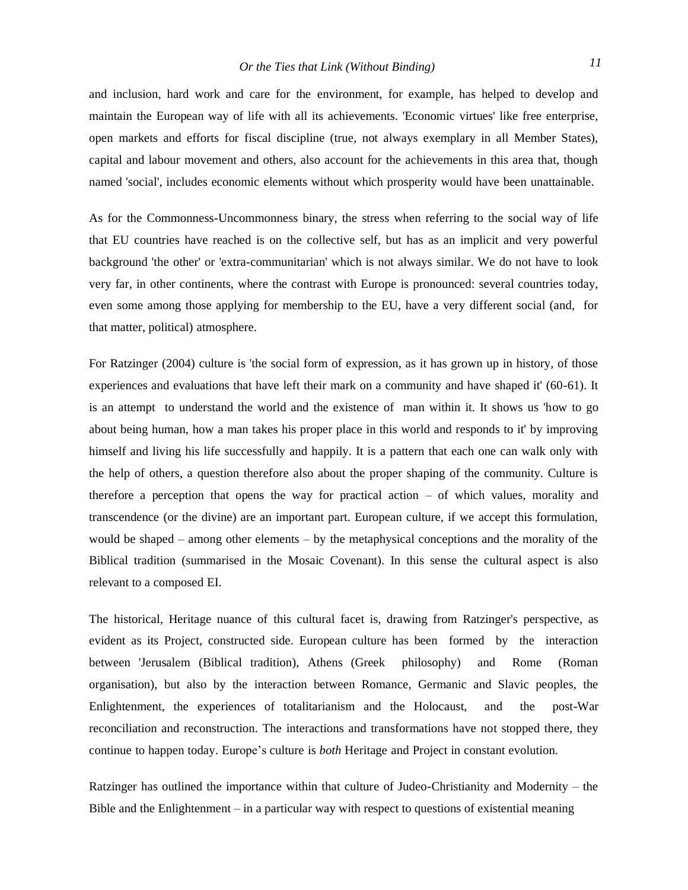and inclusion, hard work and care for the environment, for example, has helped to develop and maintain the European way of life with all its achievements. 'Economic virtues' like free enterprise, open markets and efforts for fiscal discipline (true, not always exemplary in all Member States), capital and labour movement and others, also account for the achievements in this area that, though named 'social', includes economic elements without which prosperity would have been unattainable.

As for the Commonness-Uncommonness binary, the stress when referring to the social way of life that EU countries have reached is on the collective self, but has as an implicit and very powerful background 'the other' or 'extra-communitarian' which is not always similar. We do not have to look very far, in other continents, where the contrast with Europe is pronounced: several countries today, even some among those applying for membership to the EU, have a very different social (and, for that matter, political) atmosphere.

For Ratzinger (2004) culture is 'the social form of expression, as it has grown up in history, of those experiences and evaluations that have left their mark on a community and have shaped it' (60-61). It is an attempt to understand the world and the existence of man within it. It shows us 'how to go about being human, how a man takes his proper place in this world and responds to it' by improving himself and living his life successfully and happily. It is a pattern that each one can walk only with the help of others, a question therefore also about the proper shaping of the community. Culture is therefore a perception that opens the way for practical action – of which values, morality and transcendence (or the divine) are an important part. European culture, if we accept this formulation, would be shaped – among other elements – by the metaphysical conceptions and the morality of the Biblical tradition (summarised in the Mosaic Covenant). In this sense the cultural aspect is also relevant to a composed EI.

The historical, Heritage nuance of this cultural facet is, drawing from Ratzinger's perspective, as evident as its Project, constructed side. European culture has been formed by the interaction between 'Jerusalem (Biblical tradition), Athens (Greek philosophy) and Rome (Roman organisation), but also by the interaction between Romance, Germanic and Slavic peoples, the Enlightenment, the experiences of totalitarianism and the Holocaust, and the post-War reconciliation and reconstruction. The interactions and transformations have not stopped there, they continue to happen today. Europe's culture is *both* Heritage and Project in constant evolution.

Ratzinger has outlined the importance within that culture of Judeo-Christianity and Modernity – the Bible and the Enlightenment – in a particular way with respect to questions of existential meaning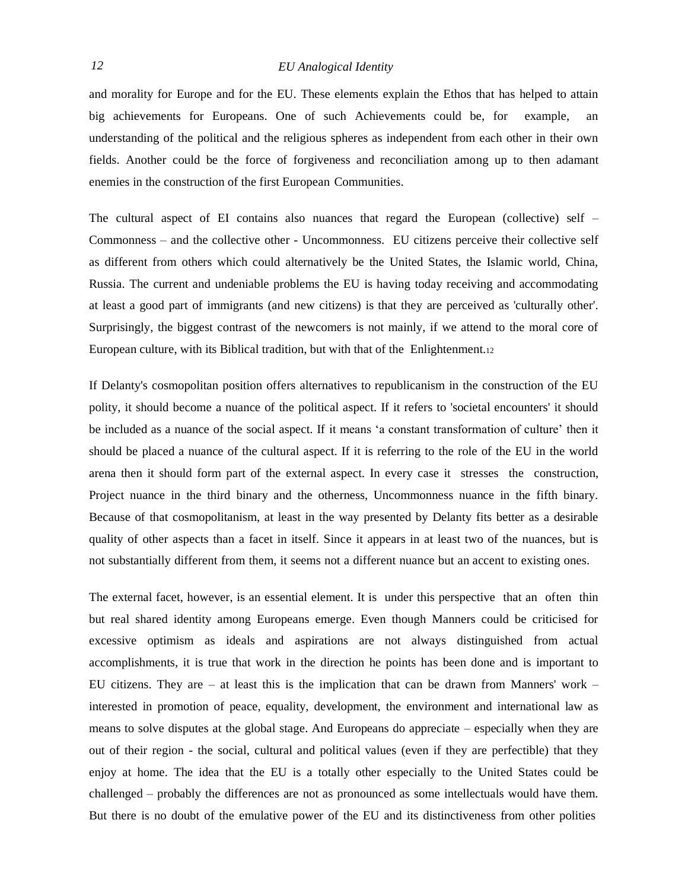and morality for Europe and for the EU. These elements explain the Ethos that has helped to attain big achievements for Europeans. One of such Achievements could be, for example, an understanding of the political and the religious spheres as independent from each other in their own fields. Another could be the force of forgiveness and reconciliation among up to then adamant enemies in the construction of the first European Communities.

The cultural aspect of EI contains also nuances that regard the European (collective) self -Commonness – and the collective other - Uncommonness. EU citizens perceive their collective self as different from others which could alternatively be the United States, the Islamic world, China, Russia. The current and undeniable problems the EU is having today receiving and accommodating at least a good part of immigrants (and new citizens) is that they are perceived as 'culturally other'. Surprisingly, the biggest contrast of the newcomers is not mainly, if we attend to the moral core of European culture, with its Biblical tradition, but with that of the Enlightenment.<sup>12</sup>

If Delanty's cosmopolitan position offers alternatives to republicanism in the construction of the EU polity, it should become a nuance of the political aspect. If it refers to 'societal encounters' it should be included as a nuance of the social aspect. If it means 'a constant transformation of culture' then it should be placed a nuance of the cultural aspect. If it is referring to the role of the EU in the world arena then it should form part of the external aspect. In every case it stresses the construction, Project nuance in the third binary and the otherness, Uncommonness nuance in the fifth binary. Because of that cosmopolitanism, at least in the way presented by Delanty fits better as a desirable quality of other aspects than a facet in itself. Since it appears in at least two of the nuances, but is not substantially different from them, it seems not a different nuance but an accent to existing ones.

The external facet, however, is an essential element. It is under this perspective that an often thin but real shared identity among Europeans emerge. Even though Manners could be criticised for excessive optimism as ideals and aspirations are not always distinguished from actual accomplishments, it is true that work in the direction he points has been done and is important to EU citizens. They are  $-$  at least this is the implication that can be drawn from Manners' work  $$ interested in promotion of peace, equality, development, the environment and international law as means to solve disputes at the global stage. And Europeans do appreciate – especially when they are out of their region - the social, cultural and political values (even if they are perfectible) that they enjoy at home. The idea that the EU is a totally other especially to the United States could be challenged – probably the differences are not as pronounced as some intellectuals would have them. But there is no doubt of the emulative power of the EU and its distinctiveness from other polities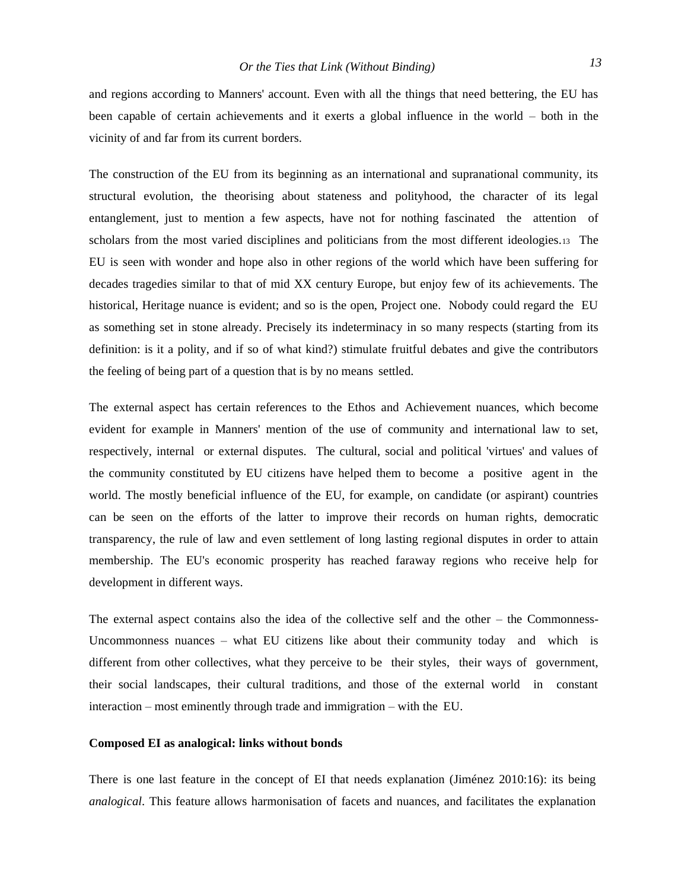and regions according to Manners' account. Even with all the things that need bettering, the EU has been capable of certain achievements and it exerts a global influence in the world – both in the vicinity of and far from its current borders.

The construction of the EU from its beginning as an international and supranational community, its structural evolution, the theorising about stateness and polityhood, the character of its legal entanglement, just to mention a few aspects, have not for nothing fascinated the attention of scholars from the most varied disciplines and politicians from the most different ideologies.13 The EU is seen with wonder and hope also in other regions of the world which have been suffering for decades tragedies similar to that of mid XX century Europe, but enjoy few of its achievements. The historical, Heritage nuance is evident; and so is the open, Project one. Nobody could regard the EU as something set in stone already. Precisely its indeterminacy in so many respects (starting from its definition: is it a polity, and if so of what kind?) stimulate fruitful debates and give the contributors the feeling of being part of a question that is by no means settled.

The external aspect has certain references to the Ethos and Achievement nuances, which become evident for example in Manners' mention of the use of community and international law to set, respectively, internal or external disputes. The cultural, social and political 'virtues' and values of the community constituted by EU citizens have helped them to become a positive agent in the world. The mostly beneficial influence of the EU, for example, on candidate (or aspirant) countries can be seen on the efforts of the latter to improve their records on human rights, democratic transparency, the rule of law and even settlement of long lasting regional disputes in order to attain membership. The EU's economic prosperity has reached faraway regions who receive help for development in different ways.

The external aspect contains also the idea of the collective self and the other – the Commonness-Uncommonness nuances – what EU citizens like about their community today and which is different from other collectives, what they perceive to be their styles, their ways of government, their social landscapes, their cultural traditions, and those of the external world in constant interaction – most eminently through trade and immigration – with the EU.

### **Composed EI as analogical: links without bonds**

There is one last feature in the concept of EI that needs explanation (Jiménez 2010:16): its being *analogical*. This feature allows harmonisation of facets and nuances, and facilitates the explanation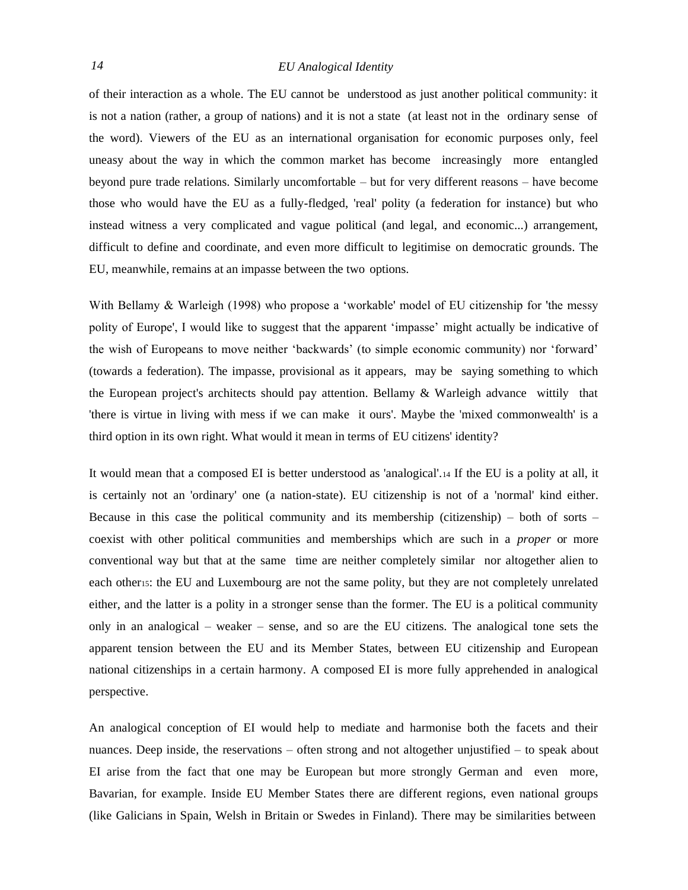of their interaction as a whole. The EU cannot be understood as just another political community: it is not a nation (rather, a group of nations) and it is not a state (at least not in the ordinary sense of the word). Viewers of the EU as an international organisation for economic purposes only, feel uneasy about the way in which the common market has become increasingly more entangled beyond pure trade relations. Similarly uncomfortable – but for very different reasons – have become those who would have the EU as a fully-fledged, 'real' polity (a federation for instance) but who instead witness a very complicated and vague political (and legal, and economic...) arrangement, difficult to define and coordinate, and even more difficult to legitimise on democratic grounds. The EU, meanwhile, remains at an impasse between the two options.

With Bellamy & Warleigh (1998) who propose a 'workable' model of EU citizenship for 'the messy polity of Europe', I would like to suggest that the apparent 'impasse' might actually be indicative of the wish of Europeans to move neither 'backwards' (to simple economic community) nor 'forward' (towards a federation). The impasse, provisional as it appears, may be saying something to which the European project's architects should pay attention. Bellamy & Warleigh advance wittily that 'there is virtue in living with mess if we can make it ours'. Maybe the 'mixed commonwealth' is a third option in its own right. What would it mean in terms of EU citizens' identity?

It would mean that a composed EI is better understood as 'analogical'.<sup>14</sup> If the EU is a polity at all, it is certainly not an 'ordinary' one (a nation-state). EU citizenship is not of a 'normal' kind either. Because in this case the political community and its membership (citizenship) – both of sorts – coexist with other political communities and memberships which are such in a *proper* or more conventional way but that at the same time are neither completely similar nor altogether alien to each other15: the EU and Luxembourg are not the same polity, but they are not completely unrelated either, and the latter is a polity in a stronger sense than the former. The EU is a political community only in an analogical – weaker – sense, and so are the EU citizens. The analogical tone sets the apparent tension between the EU and its Member States, between EU citizenship and European national citizenships in a certain harmony. A composed EI is more fully apprehended in analogical perspective.

An analogical conception of EI would help to mediate and harmonise both the facets and their nuances. Deep inside, the reservations – often strong and not altogether unjustified – to speak about EI arise from the fact that one may be European but more strongly German and even more, Bavarian, for example. Inside EU Member States there are different regions, even national groups (like Galicians in Spain, Welsh in Britain or Swedes in Finland). There may be similarities between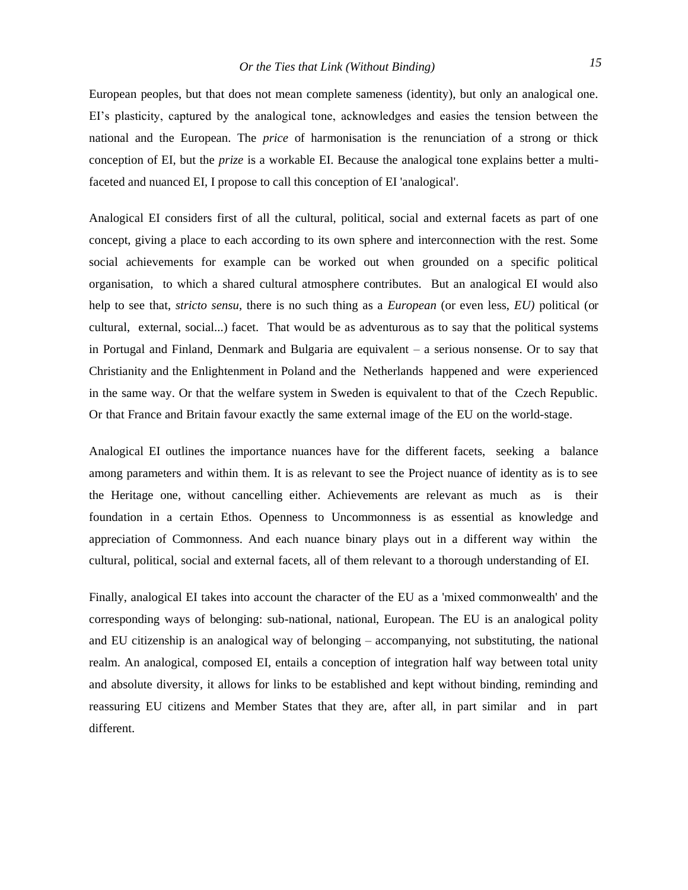European peoples, but that does not mean complete sameness (identity), but only an analogical one. EI's plasticity, captured by the analogical tone, acknowledges and easies the tension between the national and the European. The *price* of harmonisation is the renunciation of a strong or thick conception of EI, but the *prize* is a workable EI. Because the analogical tone explains better a multifaceted and nuanced EI, I propose to call this conception of EI 'analogical'.

Analogical EI considers first of all the cultural, political, social and external facets as part of one concept, giving a place to each according to its own sphere and interconnection with the rest. Some social achievements for example can be worked out when grounded on a specific political organisation, to which a shared cultural atmosphere contributes. But an analogical EI would also help to see that, *stricto sensu,* there is no such thing as a *European* (or even less, *EU)* political (or cultural, external, social...) facet. That would be as adventurous as to say that the political systems in Portugal and Finland, Denmark and Bulgaria are equivalent – a serious nonsense. Or to say that Christianity and the Enlightenment in Poland and the Netherlands happened and were experienced in the same way. Or that the welfare system in Sweden is equivalent to that of the Czech Republic. Or that France and Britain favour exactly the same external image of the EU on the world-stage.

Analogical EI outlines the importance nuances have for the different facets, seeking a balance among parameters and within them. It is as relevant to see the Project nuance of identity as is to see the Heritage one, without cancelling either. Achievements are relevant as much as is their foundation in a certain Ethos. Openness to Uncommonness is as essential as knowledge and appreciation of Commonness. And each nuance binary plays out in a different way within the cultural, political, social and external facets, all of them relevant to a thorough understanding of EI.

Finally, analogical EI takes into account the character of the EU as a 'mixed commonwealth' and the corresponding ways of belonging: sub-national, national, European. The EU is an analogical polity and EU citizenship is an analogical way of belonging – accompanying, not substituting, the national realm. An analogical, composed EI, entails a conception of integration half way between total unity and absolute diversity, it allows for links to be established and kept without binding, reminding and reassuring EU citizens and Member States that they are, after all, in part similar and in part different.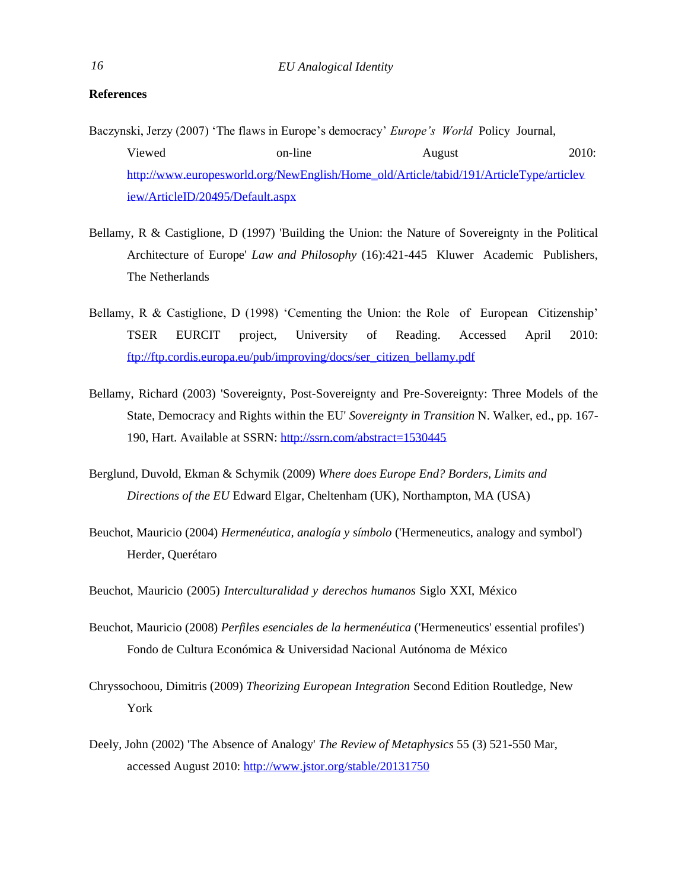## **References**

- Baczynski, Jerzy (2007) 'The flaws in Europe's democracy' *Europe's World* Policy Journal, Viewed on-line August 2010: [http://www.europesworld.org/NewEnglish/Home\\_old/Article/tabid/191/ArticleType/articlev](http://www.europesworld.org/NewEnglish/Home_old/Article/tabid/191/ArticleType/articlev) iew/ArticleID/20495/Default.aspx
- Bellamy, R & Castiglione, D (1997) 'Building the Union: the Nature of Sovereignty in the Political Architecture of Europe' *Law and Philosophy* (16):421-445 Kluwer Academic Publishers, The Netherlands
- Bellamy, R & Castiglione, D (1998) 'Cementing the Union: the Role of European Citizenship' TSER EURCIT project, University of Reading. Accessed April 2010: ftp://ftp.cordis.europa.eu/pub/improving/docs/ser\_citizen\_bellamy.pdf
- Bellamy, Richard (2003) 'Sovereignty, Post-Sovereignty and Pre-Sovereignty: Three Models of the State, Democracy and Rights within the EU' *Sovereignty in Transition* N. Walker, ed., pp. 167- 190, Hart. Available at SSRN[: http://ssrn.com/abstract=1530445](http://ssrn.com/abstract%3D1530445)
- Berglund, Duvold, Ekman & Schymik (2009) *Where does Europe End? Borders, Limits and Directions of the EU* Edward Elgar, Cheltenham (UK), Northampton, MA (USA)
- Beuchot, Mauricio (2004) *Hermenéutica, analogía y símbolo* ('Hermeneutics, analogy and symbol') Herder, Querétaro
- Beuchot, Mauricio (2005) *Interculturalidad y derechos humanos* Siglo XXI, México
- Beuchot, Mauricio (2008) *Perfiles esenciales de la hermenéutica* ('Hermeneutics' essential profiles') Fondo de Cultura Económica & Universidad Nacional Autónoma de México
- Chryssochoou, Dimitris (2009) *Theorizing European Integration* Second Edition Routledge, New York
- Deely, John (2002) 'The Absence of Analogy' *The Review of Metaphysics* 55 (3) 521-550 Mar, accessed August 2010[: http://www.jstor.org/stable/20131750](http://www.jstor.org/stable/20131750)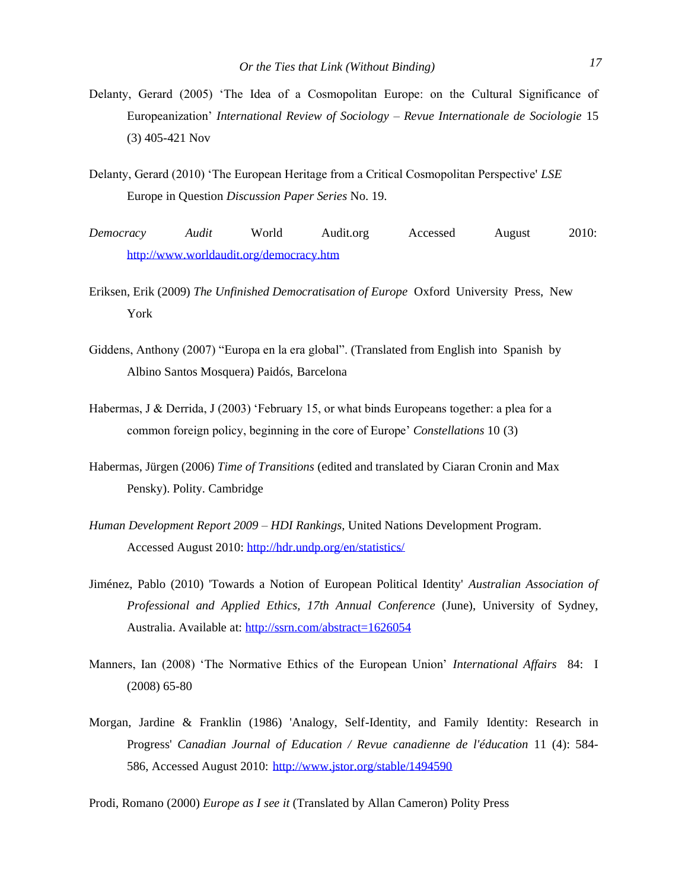- Delanty, Gerard (2005) 'The Idea of a Cosmopolitan Europe: on the Cultural Significance of Europeanization' *International Review of Sociology – Revue Internationale de Sociologie* 15 (3) 405-421 Nov
- Delanty, Gerard (2010) 'The European Heritage from a Critical Cosmopolitan Perspective' *LSE* Europe in Question *Discussion Paper Series* No. 19.
- *Democracy Audit* World Audit.org Accessed August 2010: <http://www.worldaudit.org/democracy.htm>
- Eriksen, Erik (2009) *The Unfinished Democratisation of Europe* Oxford University Press, New York
- Giddens, Anthony (2007) "Europa en la era global". (Translated from English into Spanish by Albino Santos Mosquera) Paidós, Barcelona
- Habermas, J & Derrida, J (2003) 'February 15, or what binds Europeans together: a plea for a common foreign policy, beginning in the core of Europe' *Constellations* 10 (3)
- Habermas, Jürgen (2006) *Time of Transitions* (edited and translated by Ciaran Cronin and Max Pensky). Polity. Cambridge
- *Human Development Report 2009 – HDI Rankings,* United Nations Development Program. Accessed August 2010[: http://hdr.undp.org/en/statistics/](http://hdr.undp.org/en/statistics/)
- Jiménez, Pablo (2010) 'Towards a Notion of European Political Identity' *Australian Association of Professional and Applied Ethics, 17th Annual Conference* (June), University of Sydney, Australia. Available at: [http://ssrn.com/abstract=1626054](http://ssrn.com/abstract%3D1626054)
- Manners, Ian (2008) 'The Normative Ethics of the European Union' *International Affairs* 84: I (2008) 65-80
- Morgan, Jardine & Franklin (1986) 'Analogy, Self-Identity, and Family Identity: Research in Progress' *Canadian Journal of Education / Revue canadienne de l'éducation* 11 (4): 584- 586, Accessed August 2010: <http://www.jstor.org/stable/1494590>

Prodi, Romano (2000) *Europe as I see it* (Translated by Allan Cameron) Polity Press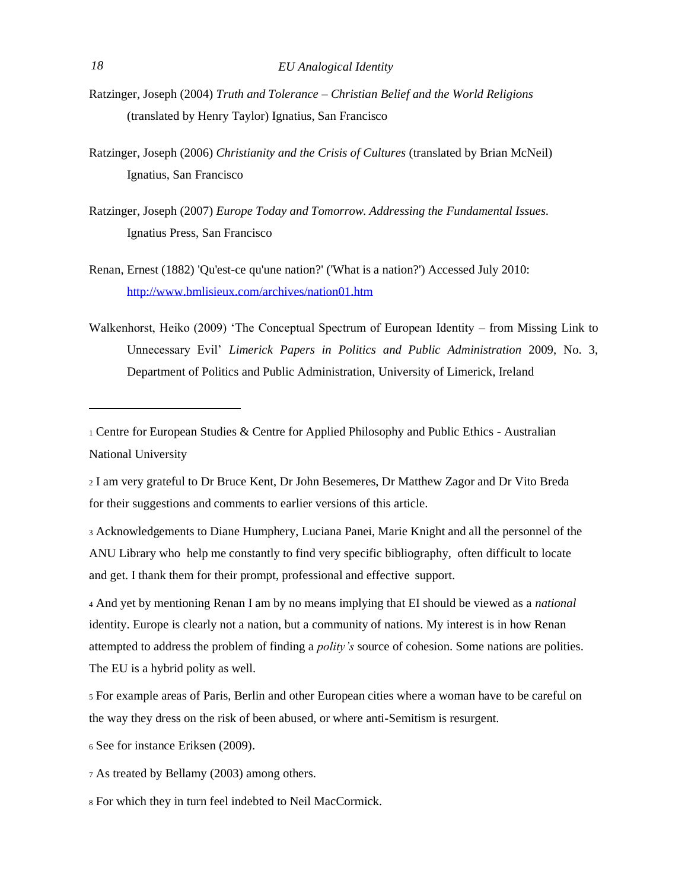- Ratzinger, Joseph (2004) *Truth and Tolerance – Christian Belief and the World Religions* (translated by Henry Taylor) Ignatius, San Francisco
- Ratzinger, Joseph (2006) *Christianity and the Crisis of Cultures* (translated by Brian McNeil) Ignatius, San Francisco
- Ratzinger, Joseph (2007) *Europe Today and Tomorrow. Addressing the Fundamental Issues.* Ignatius Press, San Francisco
- Renan, Ernest (1882) 'Qu'est-ce qu'une nation?' ('What is a nation?') Accessed July 2010: <http://www.bmlisieux.com/archives/nation01.htm>
- Walkenhorst, Heiko (2009) 'The Conceptual Spectrum of European Identity from Missing Link to Unnecessary Evil' *Limerick Papers in Politics and Public Administration* 2009, No. 3, Department of Politics and Public Administration, University of Limerick, Ireland

<sup>2</sup> I am very grateful to Dr Bruce Kent, Dr John Besemeres, Dr Matthew Zagor and Dr Vito Breda for their suggestions and comments to earlier versions of this article.

<sup>3</sup> Acknowledgements to Diane Humphery, Luciana Panei, Marie Knight and all the personnel of the ANU Library who help me constantly to find very specific bibliography, often difficult to locate and get. I thank them for their prompt, professional and effective support.

<sup>4</sup> And yet by mentioning Renan I am by no means implying that EI should be viewed as a *national*  identity. Europe is clearly not a nation, but a community of nations. My interest is in how Renan attempted to address the problem of finding a *polity's* source of cohesion. Some nations are polities. The EU is a hybrid polity as well.

<sup>5</sup> For example areas of Paris, Berlin and other European cities where a woman have to be careful on the way they dress on the risk of been abused, or where anti-Semitism is resurgent.

<sup>6</sup> See for instance Eriksen (2009).

<sup>7</sup> As treated by Bellamy (2003) among others.

<sup>8</sup> For which they in turn feel indebted to Neil MacCormick.

<sup>1</sup> Centre for European Studies & Centre for Applied Philosophy and Public Ethics - Australian National University